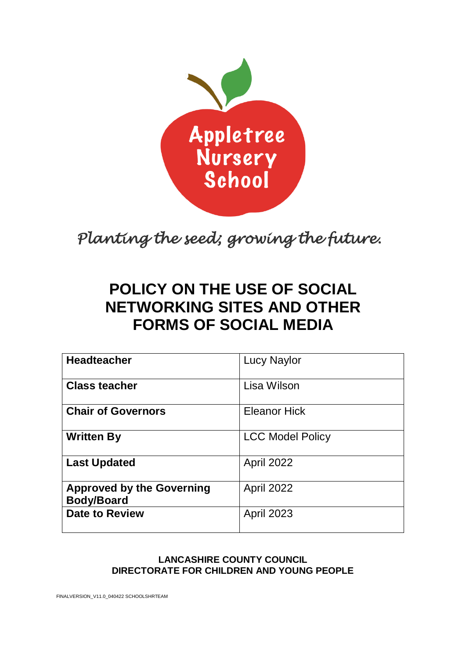

*Planting the seed; growing the future.* 

# **POLICY ON THE USE OF SOCIAL NETWORKING SITES AND OTHER FORMS OF SOCIAL MEDIA**

| <b>Headteacher</b>                                    | <b>Lucy Naylor</b>      |
|-------------------------------------------------------|-------------------------|
| <b>Class teacher</b>                                  | Lisa Wilson             |
| <b>Chair of Governors</b>                             | <b>Eleanor Hick</b>     |
| <b>Written By</b>                                     | <b>LCC Model Policy</b> |
| <b>Last Updated</b>                                   | <b>April 2022</b>       |
| <b>Approved by the Governing</b><br><b>Body/Board</b> | <b>April 2022</b>       |
| <b>Date to Review</b>                                 | <b>April 2023</b>       |

#### **LANCASHIRE COUNTY COUNCIL DIRECTORATE FOR CHILDREN AND YOUNG PEOPLE**

FINALVERSION\_V11.0\_040422 SCHOOLSHRTEAM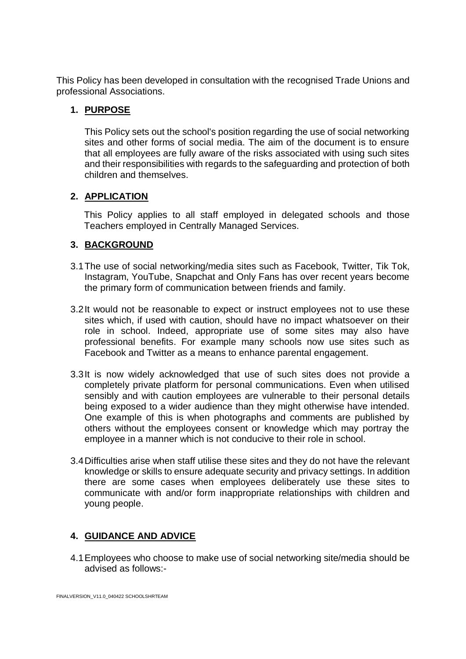This Policy has been developed in consultation with the recognised Trade Unions and professional Associations.

#### **1. PURPOSE**

This Policy sets out the school's position regarding the use of social networking sites and other forms of social media. The aim of the document is to ensure that all employees are fully aware of the risks associated with using such sites and their responsibilities with regards to the safeguarding and protection of both children and themselves.

## **2. APPLICATION**

This Policy applies to all staff employed in delegated schools and those Teachers employed in Centrally Managed Services.

## **3. BACKGROUND**

- 3.1The use of social networking/media sites such as Facebook, Twitter, Tik Tok, Instagram, YouTube, Snapchat and Only Fans has over recent years become the primary form of communication between friends and family.
- 3.2It would not be reasonable to expect or instruct employees not to use these sites which, if used with caution, should have no impact whatsoever on their role in school. Indeed, appropriate use of some sites may also have professional benefits. For example many schools now use sites such as Facebook and Twitter as a means to enhance parental engagement.
- 3.3It is now widely acknowledged that use of such sites does not provide a completely private platform for personal communications. Even when utilised sensibly and with caution employees are vulnerable to their personal details being exposed to a wider audience than they might otherwise have intended. One example of this is when photographs and comments are published by others without the employees consent or knowledge which may portray the employee in a manner which is not conducive to their role in school.
- 3.4Difficulties arise when staff utilise these sites and they do not have the relevant knowledge or skills to ensure adequate security and privacy settings. In addition there are some cases when employees deliberately use these sites to communicate with and/or form inappropriate relationships with children and young people.

# **4. GUIDANCE AND ADVICE**

4.1Employees who choose to make use of social networking site/media should be advised as follows:-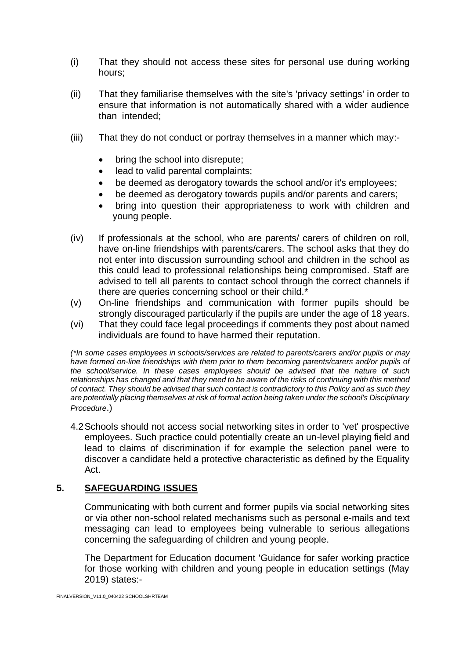- (i) That they should not access these sites for personal use during working hours;
- (ii) That they familiarise themselves with the site's 'privacy settings' in order to ensure that information is not automatically shared with a wider audience than intended;
- (iii) That they do not conduct or portray themselves in a manner which may:-
	- bring the school into disrepute;
	- lead to valid parental complaints;
	- be deemed as derogatory towards the school and/or it's employees;
	- be deemed as derogatory towards pupils and/or parents and carers;
	- bring into question their appropriateness to work with children and young people.
- (iv) If professionals at the school, who are parents/ carers of children on roll, have on-line friendships with parents/carers. The school asks that they do not enter into discussion surrounding school and children in the school as this could lead to professional relationships being compromised. Staff are advised to tell all parents to contact school through the correct channels if there are queries concerning school or their child.\*
- (v) On-line friendships and communication with former pupils should be strongly discouraged particularly if the pupils are under the age of 18 years.
- (vi) That they could face legal proceedings if comments they post about named individuals are found to have harmed their reputation.

*(\*In some cases employees in schools/services are related to parents/carers and/or pupils or may have formed on-line friendships with them prior to them becoming parents/carers and/or pupils of the school/service. In these cases employees should be advised that the nature of such relationships has changed and that they need to be aware of the risks of continuing with this method of contact. They should be advised that such contact is contradictory to this Policy and as such they are potentially placing themselves at risk of formal action being taken under the school's Disciplinary Procedure*.)

4.2Schools should not access social networking sites in order to 'vet' prospective employees. Such practice could potentially create an un-level playing field and lead to claims of discrimination if for example the selection panel were to discover a candidate held a protective characteristic as defined by the Equality Act.

#### **5. SAFEGUARDING ISSUES**

Communicating with both current and former pupils via social networking sites or via other non-school related mechanisms such as personal e-mails and text messaging can lead to employees being vulnerable to serious allegations concerning the safeguarding of children and young people.

The Department for Education document 'Guidance for safer working practice for those working with children and young people in education settings (May 2019) states:-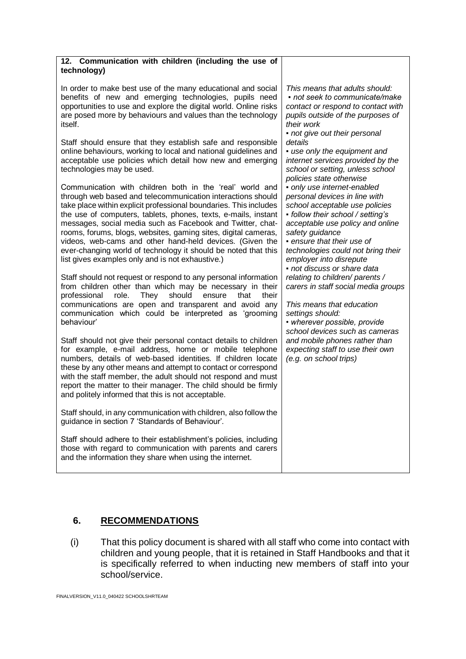| 12. Communication with children (including the use of |  |  |  |
|-------------------------------------------------------|--|--|--|
| technology)                                           |  |  |  |

In order to make best use of the many educational and social benefits of new and emerging technologies, pupils need opportunities to use and explore the digital world. Online risks are posed more by behaviours and values than the technology itself.

Staff should ensure that they establish safe and responsible online behaviours, working to local and national guidelines and acceptable use policies which detail how new and emerging technologies may be used.

Communication with children both in the 'real' world and through web based and telecommunication interactions should take place within explicit professional boundaries. This includes the use of computers, tablets, phones, texts, e-mails, instant messages, social media such as Facebook and Twitter, chatrooms, forums, blogs, websites, gaming sites, digital cameras, videos, web-cams and other hand-held devices. (Given the ever-changing world of technology it should be noted that this list gives examples only and is not exhaustive.)

Staff should not request or respond to any personal information from children other than which may be necessary in their professional role. They should ensure that their communications are open and transparent and avoid any communication which could be interpreted as 'grooming behaviour'

Staff should not give their personal contact details to children for example, e-mail address, home or mobile telephone numbers, details of web-based identities. If children locate these by any other means and attempt to contact or correspond with the staff member, the adult should not respond and must report the matter to their manager. The child should be firmly and politely informed that this is not acceptable.

Staff should, in any communication with children, also follow the guidance in section 7 'Standards of Behaviour'.

Staff should adhere to their establishment's policies, including those with regard to communication with parents and carers and the information they share when using the internet.

*This means that adults should: ▪ not seek to communicate/make contact or respond to contact with pupils outside of the purposes of their work* 

*▪ not give out their personal details* 

*▪ use only the equipment and internet services provided by the school or setting, unless school policies state otherwise ▪ only use internet-enabled personal devices in line with* 

*school acceptable use policies ▪ follow their school / setting's acceptable use policy and online safety guidance* 

*▪ ensure that their use of technologies could not bring their employer into disrepute ▪ not discuss or share data* 

*relating to children/ parents / carers in staff social media groups* 

*This means that education settings should: • wherever possible, provide school devices such as cameras* 

*and mobile phones rather than expecting staff to use their own (e.g. on school trips)*

# **6. RECOMMENDATIONS**

(i) That this policy document is shared with all staff who come into contact with children and young people, that it is retained in Staff Handbooks and that it is specifically referred to when inducting new members of staff into your school/service.